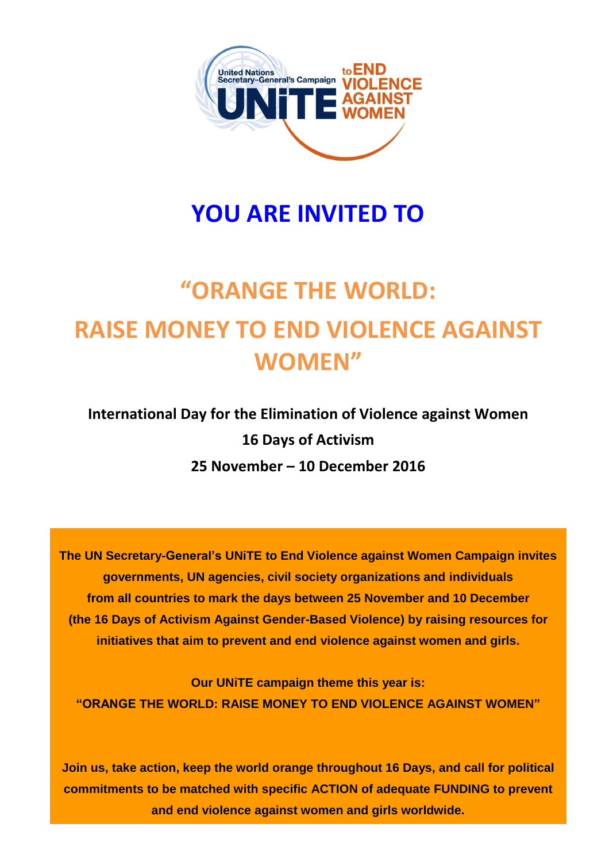

# **YOU ARE INVITED TO**

# **"ORANGE THE WORLD: RAISE MONEY TO END VIOLENCE AGAINST WOMEN"**

**International Day for the Elimination of Violence against Women 16 Days of Activism 25 November – 10 December 2016**

**The UN Secretary-General's UNiTE to End Violence against Women Campaign invites governments, UN agencies, civil society organizations and individuals from all countries to mark the days between 25 November and 10 December (the 16 Days of Activism Against Gender-Based Violence) by raising resources for initiatives that aim to prevent and end violence against women and girls.**

**Our UNiTE campaign theme this year is: "ORANGE THE WORLD: RAISE MONEY TO END VIOLENCE AGAINST WOMEN"**

**Join us, take action, keep the world orange throughout 16 Days, and call for political commitments to be matched with specific ACTION of adequate FUNDING to prevent and end violence against women and girls worldwide.**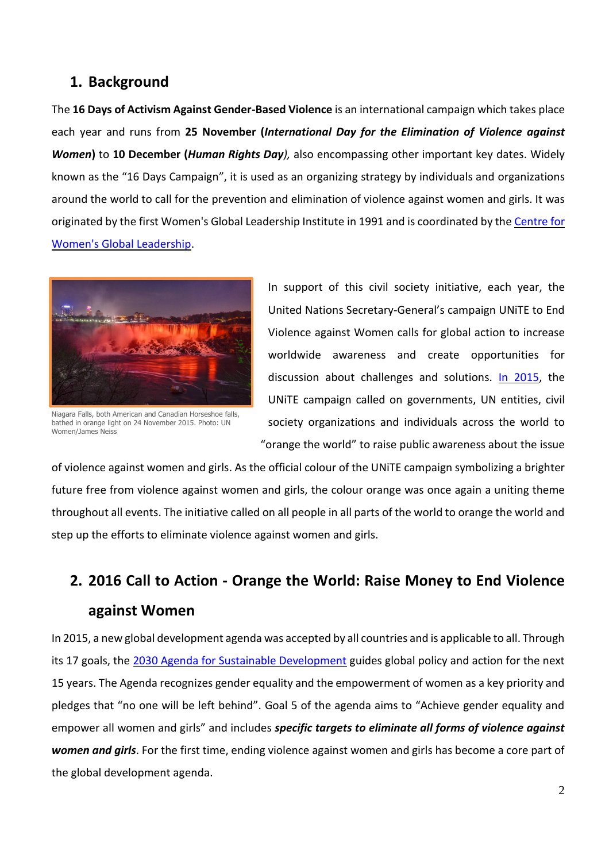## **1. Background**

The **16 Days of Activism Against Gender-Based Violence** is an international campaign which takes place each year and runs from **25 November (***International Day for the Elimination of Violence against Women***)** to **10 December (***Human Rights Day),* also encompassing other important key dates. Widely known as the "16 Days Campaign", it is used as an organizing strategy by individuals and organizations around the world to call for the prevention and elimination of violence against women and girls. It was originated by the first Women's Global Leadership Institute in 1991 and is coordinated by th[e Centre](http://www.cwgl.rutgers.edu/) for [Women's Global Leadership.](http://www.cwgl.rutgers.edu/)



Niagara Falls, both American and Canadian Horseshoe falls, bathed in orange light on 24 November 2015. Photo: UN Women/James Neiss

In support of this civil society initiative, each year, the United Nations Secretary-General's campaign UNiTE to End Violence against Women calls for global action to increase worldwide awareness and create opportunities for discussion about challenges and solutions. [In 2015,](https://www.flickr.com/photos/unwomen/albums/72157660559082157) the UNiTE campaign called on governments, UN entities, civil society organizations and individuals across the world to "orange the world" to raise public awareness about the issue

of violence against women and girls. As the official colour of the UNiTE campaign symbolizing a brighter future free from violence against women and girls, the colour orange was once again a uniting theme throughout all events. The initiative called on all people in all parts of the world to orange the world and step up the efforts to eliminate violence against women and girls.

# **2. 2016 Call to Action - Orange the World: Raise Money to End Violence against Women**

In 2015, a new global development agenda was accepted by all countries and is applicable to all. Through its 17 goals, the [2030 Agenda for Sustainable Development](http://www.un.org/ga/search/view_doc.asp?symbol=a/69/l.85&lang=e) guides global policy and action for the next 15 years. The Agenda recognizes gender equality and the empowerment of women as a key priority and pledges that "no one will be left behind". Goal 5 of the agenda aims to "Achieve gender equality and empower all women and girls" and includes *specific targets to eliminate all forms of violence against women and girls*. For the first time, ending violence against women and girls has become a core part of the global development agenda.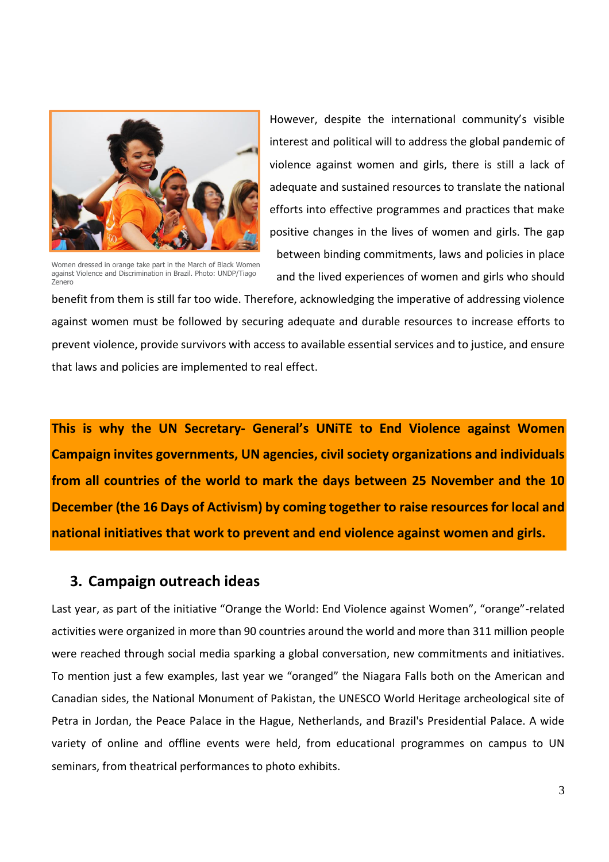

Women dressed in orange take part in the March of Black Women against Violence and Discrimination in Brazil. Photo: UNDP/Tiago Zenero

However, despite the international community's visible interest and political will to address the global pandemic of violence against women and girls, there is still a lack of adequate and sustained resources to translate the national efforts into effective programmes and practices that make positive changes in the lives of women and girls. The gap between binding commitments, laws and policies in place and the lived experiences of women and girls who should

benefit from them is still far too wide. Therefore, acknowledging the imperative of addressing violence against women must be followed by securing adequate and durable resources to increase efforts to prevent violence, provide survivors with access to available essential services and to justice, and ensure that laws and policies are implemented to real effect.

**This is why the UN Secretary- General's UNiTE to End Violence against Women Campaign invites governments, UN agencies, civil society organizations and individuals from all countries of the world to mark the days between 25 November and the 10 December (the 16 Days of Activism) by coming together to raise resources for local and national initiatives that work to prevent and end violence against women and girls.**

### **3. Campaign outreach ideas**

Last year, as part of the initiative "Orange the World: End Violence against Women", "orange"-related activities were organized in more than 90 countries around the world and more than 311 million people were reached through social media sparking a global conversation, new commitments and initiatives. To mention just a few examples, last year we "oranged" the Niagara Falls both on the American and Canadian sides, the National Monument of Pakistan, the UNESCO World Heritage archeological site of Petra in Jordan, the Peace Palace in the Hague, Netherlands, and Brazil's Presidential Palace. A wide variety of online and offline events were held, from educational programmes on campus to UN seminars, from theatrical performances to photo exhibits.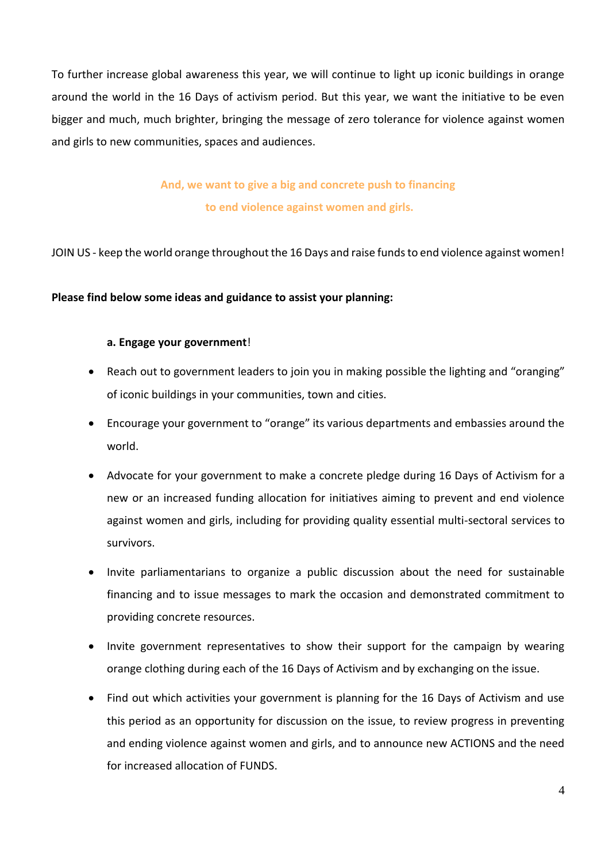To further increase global awareness this year, we will continue to light up iconic buildings in orange around the world in the 16 Days of activism period. But this year, we want the initiative to be even bigger and much, much brighter, bringing the message of zero tolerance for violence against women and girls to new communities, spaces and audiences.

> **And, we want to give a big and concrete push to financing to end violence against women and girls.**

JOIN US - keep the world orange throughout the 16 Days and raise funds to end violence against women!

#### **Please find below some ideas and guidance to assist your planning:**

#### **a. Engage your government**!

- Reach out to government leaders to join you in making possible the lighting and "oranging" of iconic buildings in your communities, town and cities.
- Encourage your government to "orange" its various departments and embassies around the world.
- Advocate for your government to make a concrete pledge during 16 Days of Activism for a new or an increased funding allocation for initiatives aiming to prevent and end violence against women and girls, including for providing quality essential multi-sectoral services to survivors.
- Invite parliamentarians to organize a public discussion about the need for sustainable financing and to issue messages to mark the occasion and demonstrated commitment to providing concrete resources.
- Invite government representatives to show their support for the campaign by wearing orange clothing during each of the 16 Days of Activism and by exchanging on the issue.
- Find out which activities your government is planning for the 16 Days of Activism and use this period as an opportunity for discussion on the issue, to review progress in preventing and ending violence against women and girls, and to announce new ACTIONS and the need for increased allocation of FUNDS.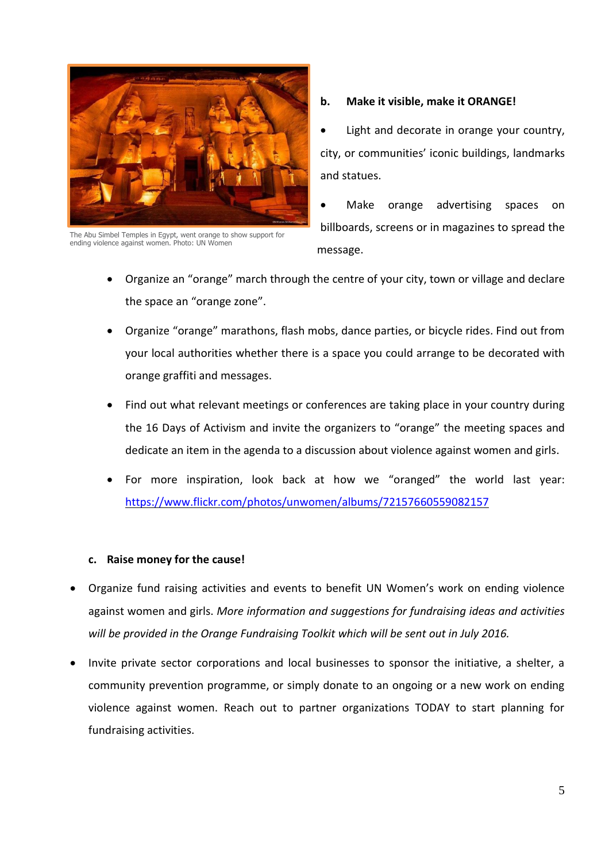

The Abu Simbel Temples in Egypt, went orange to show support for ending violence against women. Photo: UN Women

#### **b. Make it visible, make it ORANGE!**

 Light and decorate in orange your country, city, or communities' iconic buildings, landmarks and statues.

 Make orange advertising spaces on billboards, screens or in magazines to spread the message.

- Organize an "orange" march through the centre of your city, town or village and declare the space an "orange zone".
- Organize "orange" marathons, flash mobs, dance parties, or bicycle rides. Find out from your local authorities whether there is a space you could arrange to be decorated with orange graffiti and messages.
- Find out what relevant meetings or conferences are taking place in your country during the 16 Days of Activism and invite the organizers to "orange" the meeting spaces and dedicate an item in the agenda to a discussion about violence against women and girls.
- For more inspiration, look back at how we "oranged" the world last year: <https://www.flickr.com/photos/unwomen/albums/72157660559082157>

#### **c. Raise money for the cause!**

- Organize fund raising activities and events to benefit UN Women's work on ending violence against women and girls. *More information and suggestions for fundraising ideas and activities*  will be provided in the Orange Fundraising Toolkit which will be sent out in July 2016.
- Invite private sector corporations and local businesses to sponsor the initiative, a shelter, a community prevention programme, or simply donate to an ongoing or a new work on ending violence against women. Reach out to partner organizations TODAY to start planning for fundraising activities.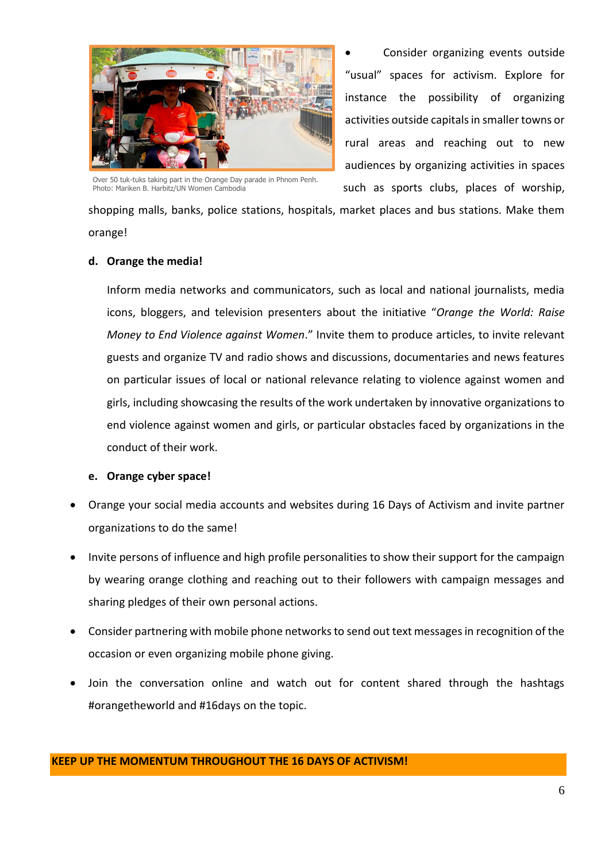

Over 50 tuk-tuks taking part in the Orange Day parade in Phnom Penh. Photo: Mariken B. Harbitz/UN Women Cambodia

 Consider organizing events outside "usual" spaces for activism. Explore for instance the possibility of organizing activities outside capitals in smaller towns or rural areas and reaching out to new audiences by organizing activities in spaces such as sports clubs, places of worship,

shopping malls, banks, police stations, hospitals, market places and bus stations. Make them orange!

#### **d. Orange the media!**

Inform media networks and communicators, such as local and national journalists, media icons, bloggers, and television presenters about the initiative "*Orange the World: Raise Money to End Violence against Women*." Invite them to produce articles, to invite relevant guests and organize TV and radio shows and discussions, documentaries and news features on particular issues of local or national relevance relating to violence against women and girls, including showcasing the results of the work undertaken by innovative organizations to end violence against women and girls, or particular obstacles faced by organizations in the conduct of their work.

#### **e. Orange cyber space!**

- Orange your social media accounts and websites during 16 Days of Activism and invite partner organizations to do the same!
- Invite persons of influence and high profile personalities to show their support for the campaign by wearing orange clothing and reaching out to their followers with campaign messages and sharing pledges of their own personal actions.
- Consider partnering with mobile phone networks to send out text messages in recognition of the occasion or even organizing mobile phone giving.
- Join the conversation online and watch out for content shared through the hashtags #orangetheworld and #16days on the topic.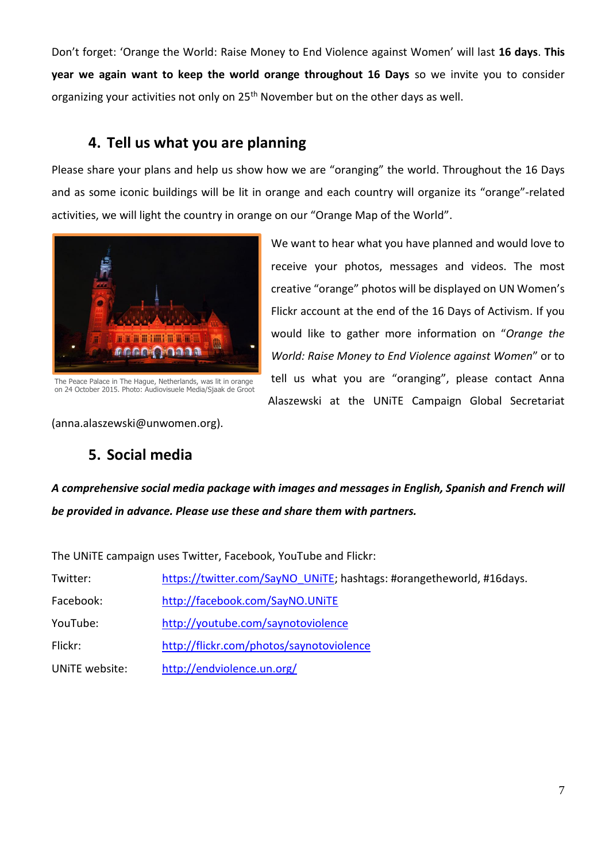Don't forget: 'Orange the World: Raise Money to End Violence against Women' will last **16 days**. **This year we again want to keep the world orange throughout 16 Days** so we invite you to consider organizing your activities not only on 25<sup>th</sup> November but on the other days as well.

# **4. Tell us what you are planning**

Please share your plans and help us show how we are "oranging" the world. Throughout the 16 Days and as some iconic buildings will be lit in orange and each country will organize its "orange"-related activities, we will light the country in orange on our "Orange Map of the World".



The Peace Palace in The Hague, Netherlands, was lit in orange on 24 October 2015. Photo: Audiovisuele Media/Sjaak de Groot

We want to hear what you have planned and would love to receive your photos, messages and videos. The most creative "orange" photos will be displayed on UN Women's Flickr account at the end of the 16 Days of Activism. If you would like to gather more information on "*Orange the World: Raise Money to End Violence against Women*" or to tell us what you are "oranging", please contact Anna Alaszewski at the UNiTE Campaign Global Secretariat

(anna.alaszewski@unwomen.org).

# **5. Social media**

*A comprehensive social media package with images and messages in English, Spanish and French will be provided in advance. Please use these and share them with partners.* 

The UNiTE campaign uses Twitter, Facebook, YouTube and Flickr:

| Twitter:       | https://twitter.com/SayNO UNITE; hashtags: #orangetheworld, #16days. |
|----------------|----------------------------------------------------------------------|
| Facebook:      | http://facebook.com/SayNO.UNiTE                                      |
| YouTube:       | http://youtube.com/saynotoviolence                                   |
| Flickr:        | http://flickr.com/photos/saynotoviolence                             |
| UNITE website: | http://endviolence.un.org/                                           |
|                |                                                                      |